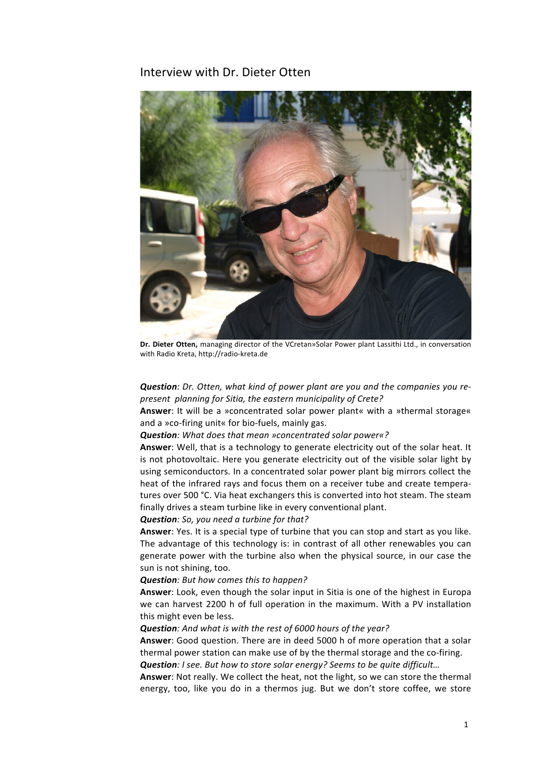# Interview with Dr. Dieter Otten



Dr. Dieter Otten, managing director of the VCretan»Solar Power plant Lassithi Ltd., in conversation with Radio Kreta, http://radio-kreta.de

**Question**: Dr. Otten, what kind of power plant are you and the companies you re*present planning for Sitia, the eastern municipality of Crete?*

**Answer:** It will be a »concentrated solar power plant« with a »thermal storage« and a »co-firing unit« for bio-fuels, mainly gas.

**Question**: What does that mean »concentrated solar power«?

Answer: Well, that is a technology to generate electricity out of the solar heat. It is not photovoltaic. Here you generate electricity out of the visible solar light by using semiconductors. In a concentrated solar power plant big mirrors collect the heat of the infrared rays and focus them on a receiver tube and create temperatures over 500 °C. Via heat exchangers this is converted into hot steam. The steam finally drives a steam turbine like in every conventional plant.

**Question**: So, you need a turbine for that?

**Answer:** Yes. It is a special type of turbine that you can stop and start as you like. The advantage of this technology is: in contrast of all other renewables you can generate power with the turbine also when the physical source, in our case the sun is not shining, too.

#### **Question**: But how comes this to happen?

**Answer:** Look, even though the solar input in Sitia is one of the highest in Europa we can harvest 2200 h of full operation in the maximum. With a PV installation this might even be less.

### *Question: And what is with the rest of 6000 hours of the year?*

**Answer:** Good question. There are in deed 5000 h of more operation that a solar thermal power station can make use of by the thermal storage and the co-firing.

**Question**: *I* see. But how to store solar energy? Seems to be quite difficult...

Answer: Not really. We collect the heat, not the light, so we can store the thermal energy, too, like you do in a thermos jug. But we don't store coffee, we store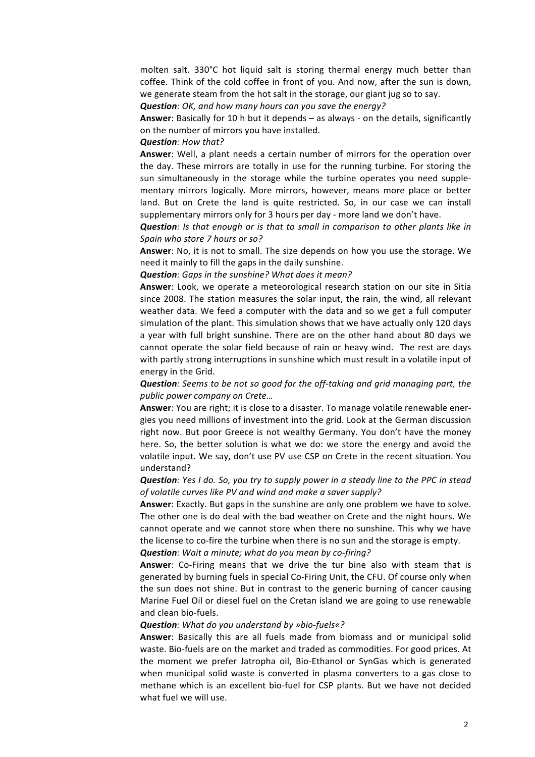molten salt. 330°C hot liquid salt is storing thermal energy much better than coffee. Think of the cold coffee in front of you. And now, after the sun is down, we generate steam from the hot salt in the storage, our giant jug so to say.

**Question**: OK, and how many hours can you save the energy?

**Answer:** Basically for 10 h but it depends – as always - on the details, significantly on the number of mirrors you have installed.

## **Question**: How that?

**Answer:** Well, a plant needs a certain number of mirrors for the operation over the day. These mirrors are totally in use for the running turbine. For storing the sun simultaneously in the storage while the turbine operates you need supplementary mirrors logically. More mirrors, however, means more place or better land. But on Crete the land is quite restricted. So, in our case we can install supplementary mirrors only for 3 hours per day - more land we don't have.

**Question**: Is that enough or is that to small in comparison to other plants like in *Spain who store 7 hours or so?*

**Answer**: No, it is not to small. The size depends on how you use the storage. We need it mainly to fill the gaps in the daily sunshine.

**Question**: Gaps in the sunshine? What does it mean?

**Answer**: Look, we operate a meteorological research station on our site in Sitia since 2008. The station measures the solar input, the rain, the wind, all relevant weather data. We feed a computer with the data and so we get a full computer simulation of the plant. This simulation shows that we have actually only 120 days a year with full bright sunshine. There are on the other hand about 80 days we cannot operate the solar field because of rain or heavy wind. The rest are days with partly strong interruptions in sunshine which must result in a volatile input of energy in the Grid.

**Question**: Seems to be not so good for the off-taking and grid managing part, the *public power company on Crete…*

Answer: You are right; it is close to a disaster. To manage volatile renewable energies you need millions of investment into the grid. Look at the German discussion right now. But poor Greece is not wealthy Germany. You don't have the money here. So, the better solution is what we do: we store the energy and avoid the volatile input. We say, don't use PV use CSP on Crete in the recent situation. You understand?

# *Question: Yes I do. So, you try to supply power in a steady line to the PPC in stead* of volatile curves like PV and wind and make a saver supply?

Answer: Exactly. But gaps in the sunshine are only one problem we have to solve. The other one is do deal with the bad weather on Crete and the night hours. We cannot operate and we cannot store when there no sunshine. This why we have the license to co-fire the turbine when there is no sun and the storage is empty.

## **Question**: Wait a minute; what do you mean by co-firing?

**Answer:** Co-Firing means that we drive the tur bine also with steam that is generated by burning fuels in special Co-Firing Unit, the CFU. Of course only when the sun does not shine. But in contrast to the generic burning of cancer causing Marine Fuel Oil or diesel fuel on the Cretan island we are going to use renewable and clean bio-fuels.

### **Question**: What do you understand by »bio-fuels«?

**Answer:** Basically this are all fuels made from biomass and or municipal solid waste. Bio-fuels are on the market and traded as commodities. For good prices. At the moment we prefer Jatropha oil, Bio-Ethanol or SynGas which is generated when municipal solid waste is converted in plasma converters to a gas close to methane which is an excellent bio-fuel for CSP plants. But we have not decided what fuel we will use.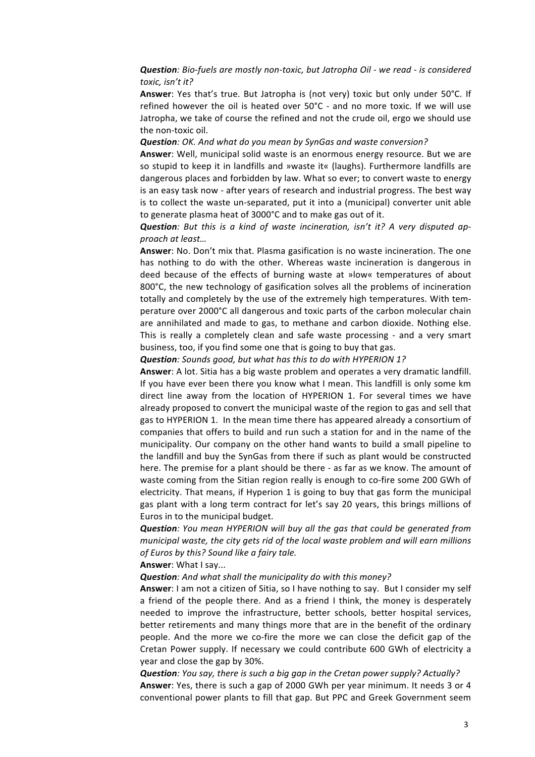*Question: Bio-fuels are mostly non-toxic, but Jatropha Oil - we read - is considered toxic, isn't it?*

**Answer:** Yes that's true. But Jatropha is (not very) toxic but only under 50°C. If refined however the oil is heated over  $50^{\circ}$ C - and no more toxic. If we will use Jatropha, we take of course the refined and not the crude oil, ergo we should use the non-toxic oil.

**Question**: OK. And what do you mean by SynGas and waste conversion?

**Answer:** Well, municipal solid waste is an enormous energy resource. But we are so stupid to keep it in landfills and »waste it« (laughs). Furthermore landfills are dangerous places and forbidden by law. What so ever; to convert waste to energy is an easy task now - after years of research and industrial progress. The best way is to collect the waste un-separated, put it into a (municipal) converter unit able to generate plasma heat of 3000°C and to make gas out of it.

**Question**: But this is a kind of waste incineration, isn't it? A very disputed ap*proach at least…*

Answer: No. Don't mix that. Plasma gasification is no waste incineration. The one has nothing to do with the other. Whereas waste incineration is dangerous in deed because of the effects of burning waste at »low« temperatures of about 800 $^{\circ}$ C, the new technology of gasification solves all the problems of incineration totally and completely by the use of the extremely high temperatures. With temperature over 2000°C all dangerous and toxic parts of the carbon molecular chain are annihilated and made to gas, to methane and carbon dioxide. Nothing else. This is really a completely clean and safe waste processing - and a very smart business, too, if you find some one that is going to buy that gas.

**Question**: Sounds good, but what has this to do with HYPERION 1?

Answer: A lot. Sitia has a big waste problem and operates a very dramatic landfill. If you have ever been there you know what I mean. This landfill is only some km direct line away from the location of HYPERION 1. For several times we have already proposed to convert the municipal waste of the region to gas and sell that gas to HYPERION 1. In the mean time there has appeared already a consortium of companies that offers to build and run such a station for and in the name of the municipality. Our company on the other hand wants to build a small pipeline to the landfill and buy the SynGas from there if such as plant would be constructed here. The premise for a plant should be there - as far as we know. The amount of waste coming from the Sitian region really is enough to co-fire some 200 GWh of electricity. That means, if Hyperion 1 is going to buy that gas form the municipal gas plant with a long term contract for let's say 20 years, this brings millions of Euros in to the municipal budget.

**Question**: You mean HYPERION will buy all the gas that could be generated from *municipal waste, the city gets rid of the local waste problem and will earn millions of Euros by this? Sound like a fairy tale.*

#### **Answer:** What I say...

**Question**: And what shall the municipality do with this money?

Answer: I am not a citizen of Sitia, so I have nothing to say. But I consider my self a friend of the people there. And as a friend I think, the money is desperately needed to improve the infrastructure, better schools, better hospital services, better retirements and many things more that are in the benefit of the ordinary people. And the more we co-fire the more we can close the deficit gap of the Cretan Power supply. If necessary we could contribute 600 GWh of electricity a year and close the gap by 30%.

**Question**: You say, there is such a big gap in the Cretan power supply? Actually? **Answer:** Yes, there is such a gap of 2000 GWh per year minimum. It needs 3 or 4 conventional power plants to fill that gap. But PPC and Greek Government seem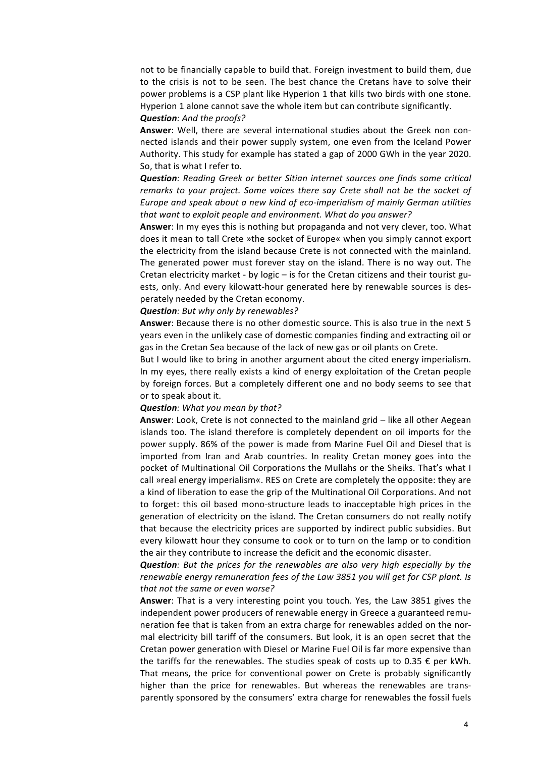not to be financially capable to build that. Foreign investment to build them, due to the crisis is not to be seen. The best chance the Cretans have to solve their power problems is a CSP plant like Hyperion 1 that kills two birds with one stone. Hyperion 1 alone cannot save the whole item but can contribute significantly.

# **Question**: And the proofs?

Answer: Well, there are several international studies about the Greek non connected islands and their power supply system, one even from the Iceland Power Authority. This study for example has stated a gap of 2000 GWh in the year 2020. So, that is what I refer to.

**Question**: Reading Greek or better Sitian internet sources one finds some critical *remarks* to your project. Some voices there say Crete shall not be the socket of *Europe and speak about a new kind of eco-imperialism of mainly German utilities* that want to exploit people and environment. What do you answer?

**Answer:** In my eyes this is nothing but propaganda and not very clever, too. What does it mean to tall Crete »the socket of Europe« when you simply cannot export the electricity from the island because Crete is not connected with the mainland. The generated power must forever stay on the island. There is no way out. The Cretan electricity market - by logic  $-$  is for the Cretan citizens and their tourist guests, only. And every kilowatt-hour generated here by renewable sources is desperately needed by the Cretan economy.

## **Question**: But why only by renewables?

**Answer:** Because there is no other domestic source. This is also true in the next 5 years even in the unlikely case of domestic companies finding and extracting oil or gas in the Cretan Sea because of the lack of new gas or oil plants on Crete.

But I would like to bring in another argument about the cited energy imperialism. In my eyes, there really exists a kind of energy exploitation of the Cretan people by foreign forces. But a completely different one and no body seems to see that or to speak about it.

#### **Question**: What you mean by that?

**Answer**: Look, Crete is not connected to the mainland grid – like all other Aegean islands too. The island therefore is completely dependent on oil imports for the power supply. 86% of the power is made from Marine Fuel Oil and Diesel that is imported from Iran and Arab countries. In reality Cretan money goes into the pocket of Multinational Oil Corporations the Mullahs or the Sheiks. That's what I call »real energy imperialism«. RES on Crete are completely the opposite: they are a kind of liberation to ease the grip of the Multinational Oil Corporations. And not to forget: this oil based mono-structure leads to inacceptable high prices in the generation of electricity on the island. The Cretan consumers do not really notify that because the electricity prices are supported by indirect public subsidies. But every kilowatt hour they consume to cook or to turn on the lamp or to condition the air they contribute to increase the deficit and the economic disaster.

**Question**: But the prices for the renewables are also very high especially by the *renewable energy remuneration fees of the Law 3851 you will get for CSP plant. Is* that not the same or even worse?

**Answer:** That is a very interesting point you touch. Yes, the Law 3851 gives the independent power producers of renewable energy in Greece a guaranteed remuneration fee that is taken from an extra charge for renewables added on the normal electricity bill tariff of the consumers. But look, it is an open secret that the Cretan power generation with Diesel or Marine Fuel Oil is far more expensive than the tariffs for the renewables. The studies speak of costs up to 0.35  $\epsilon$  per kWh. That means, the price for conventional power on Crete is probably significantly higher than the price for renewables. But whereas the renewables are transparently sponsored by the consumers' extra charge for renewables the fossil fuels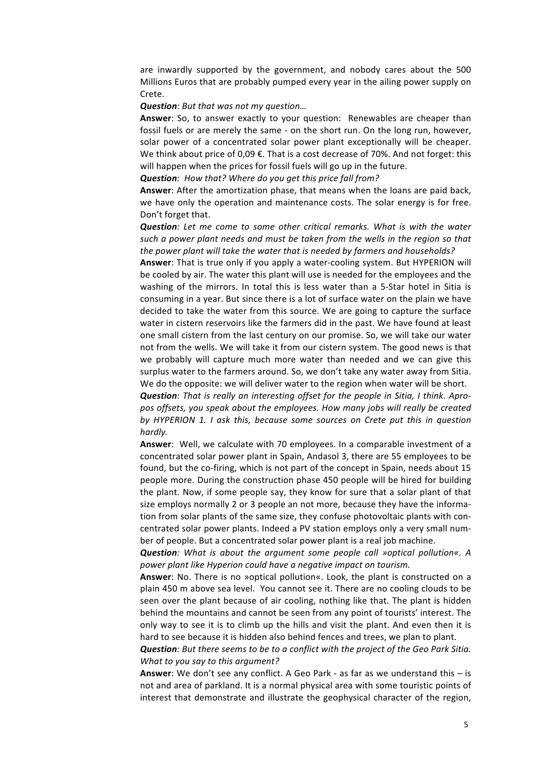are inwardly supported by the government, and nobody cares about the 500 Millions Euros that are probably pumped every year in the ailing power supply on Crete. 

#### **Question**: But that was not my question...

**Answer**: So, to answer exactly to your question: Renewables are cheaper than fossil fuels or are merely the same - on the short run. On the long run, however, solar power of a concentrated solar power plant exceptionally will be cheaper. We think about price of 0,09  $\epsilon$ . That is a cost decrease of 70%. And not forget: this will happen when the prices for fossil fuels will go up in the future.

**Question**: How that? Where do you get this price fall from?

Answer: After the amortization phase, that means when the loans are paid back, we have only the operation and maintenance costs. The solar energy is for free. Don't forget that.

**Question**: Let me come to some other critical remarks. What is with the water *such* a power plant needs and must be taken from the wells in the region so that the power plant will take the water that is needed by farmers and households?

**Answer:** That is true only if you apply a water-cooling system. But HYPERION will be cooled by air. The water this plant will use is needed for the employees and the washing of the mirrors. In total this is less water than a 5-Star hotel in Sitia is consuming in a year. But since there is a lot of surface water on the plain we have decided to take the water from this source. We are going to capture the surface water in cistern reservoirs like the farmers did in the past. We have found at least one small cistern from the last century on our promise. So, we will take our water not from the wells. We will take it from our cistern system. The good news is that we probably will capture much more water than needed and we can give this surplus water to the farmers around. So, we don't take any water away from Sitia. We do the opposite: we will deliver water to the region when water will be short.

**Question**: That is really an interesting offset for the people in Sitia, I think. Apropos offsets, you speak about the employees. How many jobs will really be created by HYPERION 1. I ask this, because some sources on Crete put this in question *hardly.*

**Answer:** Well, we calculate with 70 employees. In a comparable investment of a concentrated solar power plant in Spain, Andasol 3, there are 55 employees to be found, but the co-firing, which is not part of the concept in Spain, needs about 15 people more. During the construction phase 450 people will be hired for building the plant. Now, if some people say, they know for sure that a solar plant of that size employs normally 2 or 3 people an not more, because they have the information from solar plants of the same size, they confuse photovoltaic plants with concentrated solar power plants. Indeed a PV station employs only a very small number of people. But a concentrated solar power plant is a real job machine.

*Question:* What is about the argument some people call »optical pollution«. A *power plant like Hyperion could have a negative impact on tourism.*

**Answer:** No. There is no »optical pollution«. Look, the plant is constructed on a plain 450 m above sea level. You cannot see it. There are no cooling clouds to be seen over the plant because of air cooling, nothing like that. The plant is hidden behind the mountains and cannot be seen from any point of tourists' interest. The only way to see it is to climb up the hills and visit the plant. And even then it is hard to see because it is hidden also behind fences and trees, we plan to plant.

**Question**: But there seems to be to a conflict with the project of the Geo Park Sitia. *What to you say to this argument?* 

**Answer**: We don't see any conflict. A Geo Park - as far as we understand this - is not and area of parkland. It is a normal physical area with some touristic points of interest that demonstrate and illustrate the geophysical character of the region,